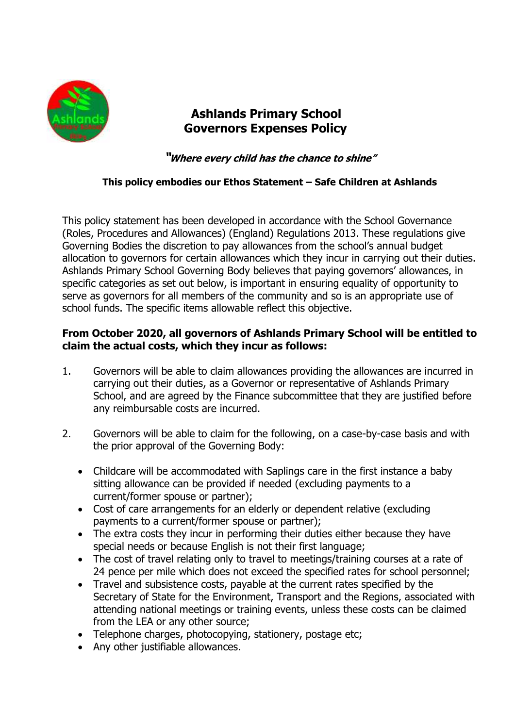

# **Ashlands Primary School Governors Expenses Policy**

**"Where every child has the chance to shine"**

#### **This policy embodies our Ethos Statement – Safe Children at Ashlands**

This policy statement has been developed in accordance with the School Governance (Roles, Procedures and Allowances) (England) Regulations 2013. These regulations give Governing Bodies the discretion to pay allowances from the school's annual budget allocation to governors for certain allowances which they incur in carrying out their duties. Ashlands Primary School Governing Body believes that paying governors' allowances, in specific categories as set out below, is important in ensuring equality of opportunity to serve as governors for all members of the community and so is an appropriate use of school funds. The specific items allowable reflect this objective.

## **From October 2020, all governors of Ashlands Primary School will be entitled to claim the actual costs, which they incur as follows:**

- 1. Governors will be able to claim allowances providing the allowances are incurred in carrying out their duties, as a Governor or representative of Ashlands Primary School, and are agreed by the Finance subcommittee that they are justified before any reimbursable costs are incurred.
- 2. Governors will be able to claim for the following, on a case-by-case basis and with the prior approval of the Governing Body:
	- Childcare will be accommodated with Saplings care in the first instance a baby sitting allowance can be provided if needed (excluding payments to a current/former spouse or partner);
	- Cost of care arrangements for an elderly or dependent relative (excluding payments to a current/former spouse or partner);
	- The extra costs they incur in performing their duties either because they have special needs or because English is not their first language;
	- The cost of travel relating only to travel to meetings/training courses at a rate of 24 pence per mile which does not exceed the specified rates for school personnel;
	- Travel and subsistence costs, payable at the current rates specified by the Secretary of State for the Environment, Transport and the Regions, associated with attending national meetings or training events, unless these costs can be claimed from the LEA or any other source;
	- Telephone charges, photocopying, stationery, postage etc;
	- Any other justifiable allowances.